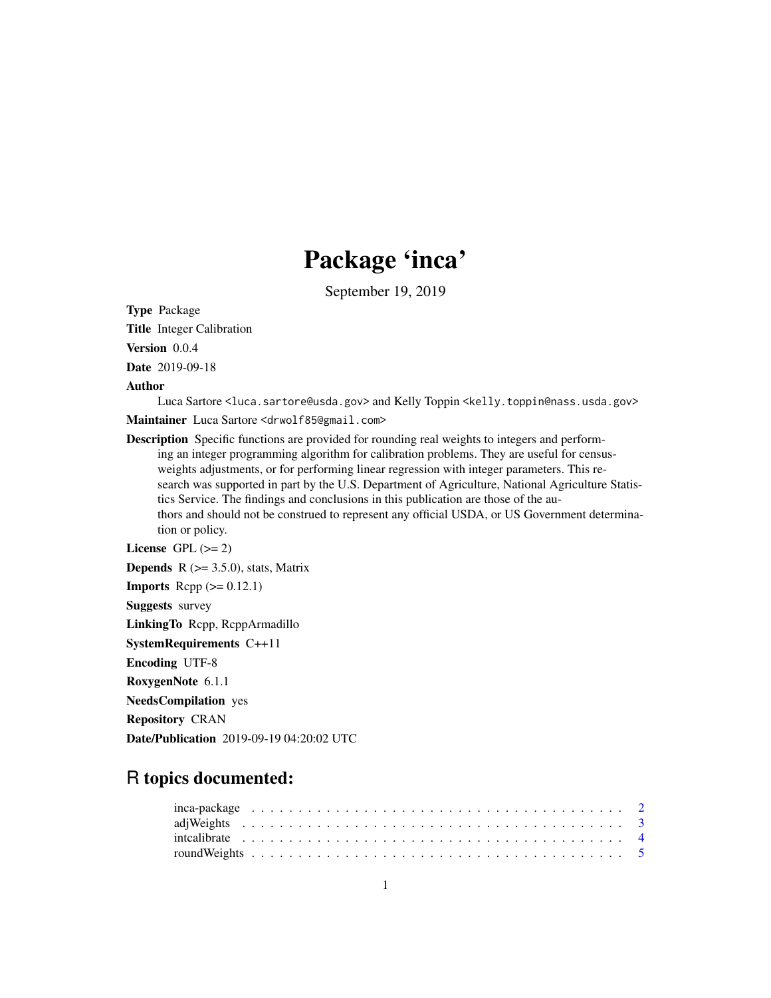## Package 'inca'

September 19, 2019

Type Package

Title Integer Calibration

Version 0.0.4

Date 2019-09-18

Author

Luca Sartore <luca.sartore@usda.gov> and Kelly Toppin <kelly.toppin@nass.usda.gov>

Maintainer Luca Sartore <drwolf85@gmail.com>

Description Specific functions are provided for rounding real weights to integers and performing an integer programming algorithm for calibration problems. They are useful for censusweights adjustments, or for performing linear regression with integer parameters. This research was supported in part by the U.S. Department of Agriculture, National Agriculture Statistics Service. The findings and conclusions in this publication are those of the authors and should not be construed to represent any official USDA, or US Government determination or policy.

```
License GPL (>= 2)Depends R (>= 3.5.0), stats, Matrix
```
**Imports** Rcpp  $(>= 0.12.1)$ Suggests survey

LinkingTo Rcpp, RcppArmadillo

SystemRequirements C++11

Encoding UTF-8

```
RoxygenNote 6.1.1
```
NeedsCompilation yes

Repository CRAN

Date/Publication 2019-09-19 04:20:02 UTC

### R topics documented: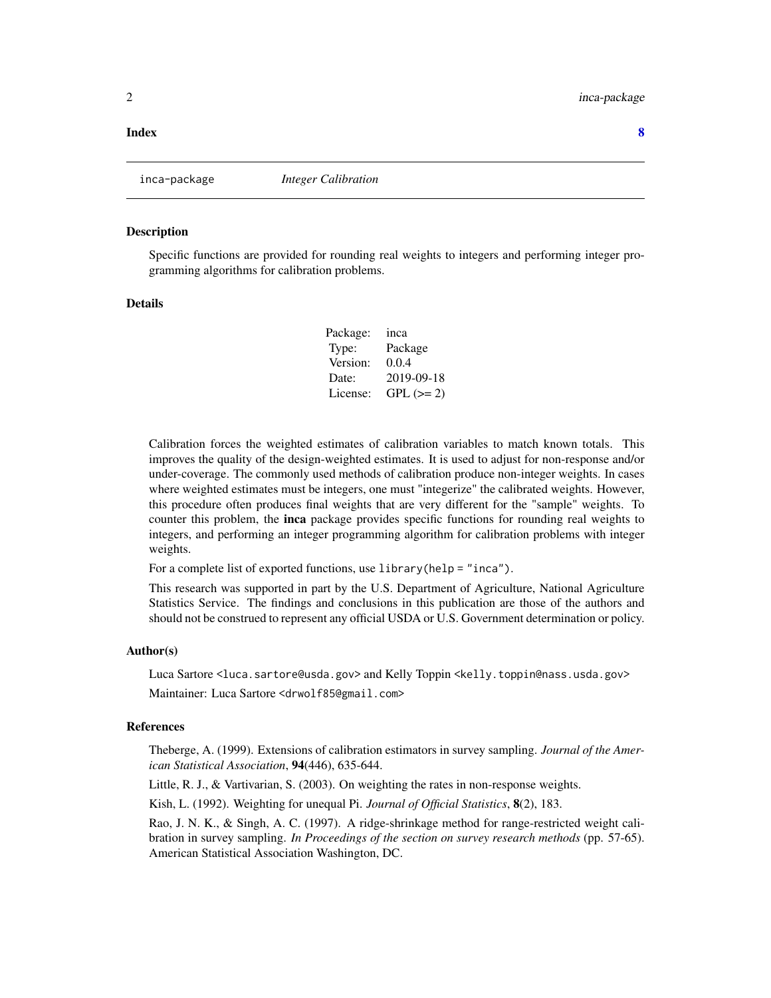#### <span id="page-1-0"></span>**Index** [8](#page-7-0) **8**

inca-package *Integer Calibration*

#### Description

Specific functions are provided for rounding real weights to integers and performing integer programming algorithms for calibration problems.

#### Details

Package: inca Type: Package Version: 0.0.4 Date: 2019-09-18 License: GPL  $(>= 2)$ 

Calibration forces the weighted estimates of calibration variables to match known totals. This improves the quality of the design-weighted estimates. It is used to adjust for non-response and/or under-coverage. The commonly used methods of calibration produce non-integer weights. In cases where weighted estimates must be integers, one must "integerize" the calibrated weights. However, this procedure often produces final weights that are very different for the "sample" weights. To counter this problem, the inca package provides specific functions for rounding real weights to integers, and performing an integer programming algorithm for calibration problems with integer weights.

For a complete list of exported functions, use library(help = "inca").

This research was supported in part by the U.S. Department of Agriculture, National Agriculture Statistics Service. The findings and conclusions in this publication are those of the authors and should not be construed to represent any official USDA or U.S. Government determination or policy.

#### Author(s)

Luca Sartore <luca.sartore@usda.gov> and Kelly Toppin <kelly.toppin@nass.usda.gov> Maintainer: Luca Sartore <drwolf85@gmail.com>

#### References

Theberge, A. (1999). Extensions of calibration estimators in survey sampling. *Journal of the American Statistical Association*, 94(446), 635-644.

Little, R. J., & Vartivarian, S. (2003). On weighting the rates in non-response weights.

Kish, L. (1992). Weighting for unequal Pi. *Journal of Official Statistics*, 8(2), 183.

Rao, J. N. K., & Singh, A. C. (1997). A ridge-shrinkage method for range-restricted weight calibration in survey sampling. *In Proceedings of the section on survey research methods* (pp. 57-65). American Statistical Association Washington, DC.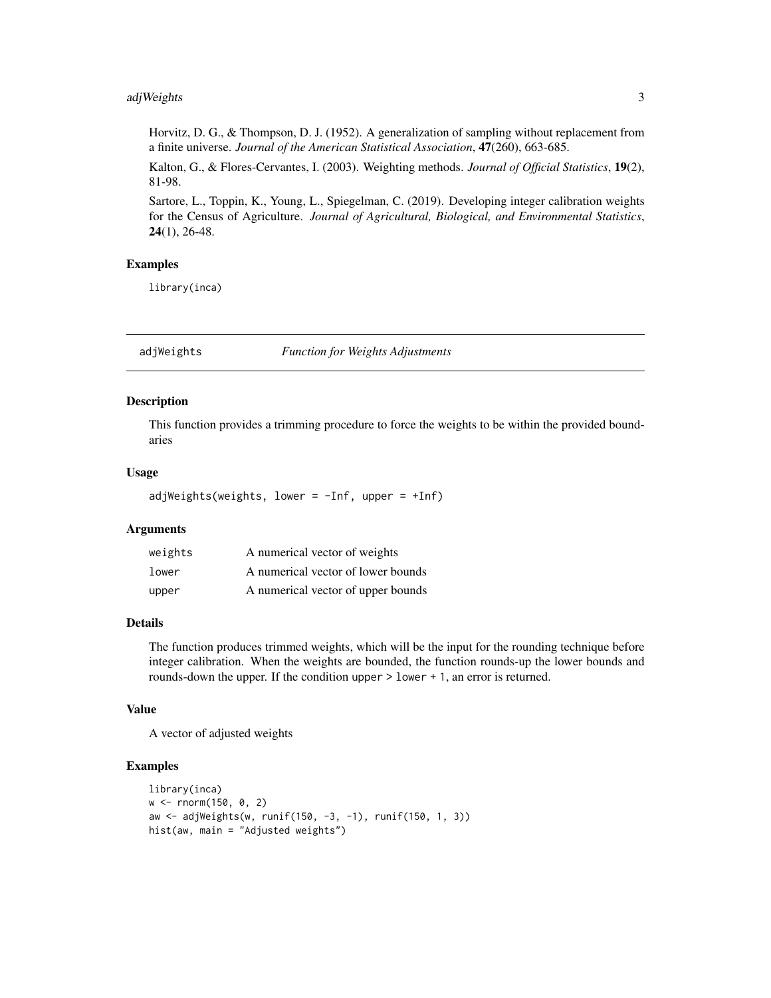#### <span id="page-2-0"></span>adjWeights 3

Horvitz, D. G., & Thompson, D. J. (1952). A generalization of sampling without replacement from a finite universe. *Journal of the American Statistical Association*, 47(260), 663-685.

Kalton, G., & Flores-Cervantes, I. (2003). Weighting methods. *Journal of Official Statistics*, 19(2), 81-98.

Sartore, L., Toppin, K., Young, L., Spiegelman, C. (2019). Developing integer calibration weights for the Census of Agriculture. *Journal of Agricultural, Biological, and Environmental Statistics*, 24(1), 26-48.

#### Examples

library(inca)

adjWeights *Function for Weights Adjustments*

#### Description

This function provides a trimming procedure to force the weights to be within the provided boundaries

#### Usage

adjWeights(weights, lower =  $-Inf$ , upper =  $+Inf$ )

#### Arguments

| weights | A numerical vector of weights      |
|---------|------------------------------------|
| lower   | A numerical vector of lower bounds |
| upper   | A numerical vector of upper bounds |

#### Details

The function produces trimmed weights, which will be the input for the rounding technique before integer calibration. When the weights are bounded, the function rounds-up the lower bounds and rounds-down the upper. If the condition upper > lower + 1, an error is returned.

#### Value

A vector of adjusted weights

#### Examples

```
library(inca)
w <- rnorm(150, 0, 2)
aw <- adjWeights(w, runif(150, -3, -1), runif(150, 1, 3))
hist(aw, main = "Adjusted weights")
```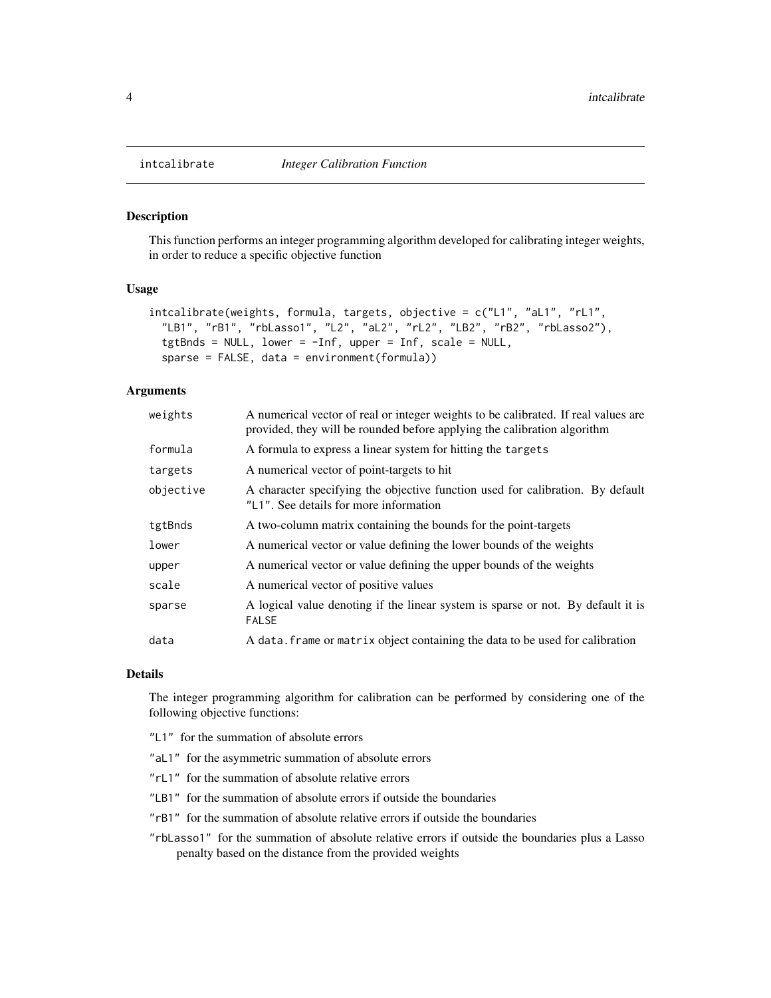#### Description

This function performs an integer programming algorithm developed for calibrating integer weights, in order to reduce a specific objective function

#### Usage

```
intcalibrate(weights, formula, targets, objective = c("L1", "aL1", "rL1",
  "LB1", "rB1", "rbLasso1", "L2", "aL2", "rL2", "LB2", "rB2", "rbLasso2"),
  tgtBnds = NULL, lower = -Inf, upper = Inf, scale = NULL,
  sparse = FALSE, data = environment(formula))
```
#### Arguments

| weights   | A numerical vector of real or integer weights to be calibrated. If real values are<br>provided, they will be rounded before applying the calibration algorithm |
|-----------|----------------------------------------------------------------------------------------------------------------------------------------------------------------|
| formula   | A formula to express a linear system for hitting the targets                                                                                                   |
| targets   | A numerical vector of point-targets to hit                                                                                                                     |
| objective | A character specifying the objective function used for calibration. By default<br>"L1". See details for more information                                       |
| tgtBnds   | A two-column matrix containing the bounds for the point-targets                                                                                                |
| lower     | A numerical vector or value defining the lower bounds of the weights                                                                                           |
| upper     | A numerical vector or value defining the upper bounds of the weights                                                                                           |
| scale     | A numerical vector of positive values                                                                                                                          |
| sparse    | A logical value denoting if the linear system is sparse or not. By default it is<br><b>FALSE</b>                                                               |
| data      | A data. frame or matrix object containing the data to be used for calibration                                                                                  |

#### Details

The integer programming algorithm for calibration can be performed by considering one of the following objective functions:

- "L1" for the summation of absolute errors
- "aL1" for the asymmetric summation of absolute errors
- "rL1" for the summation of absolute relative errors
- "LB1" for the summation of absolute errors if outside the boundaries
- "rB1" for the summation of absolute relative errors if outside the boundaries
- "rbLasso1" for the summation of absolute relative errors if outside the boundaries plus a Lasso penalty based on the distance from the provided weights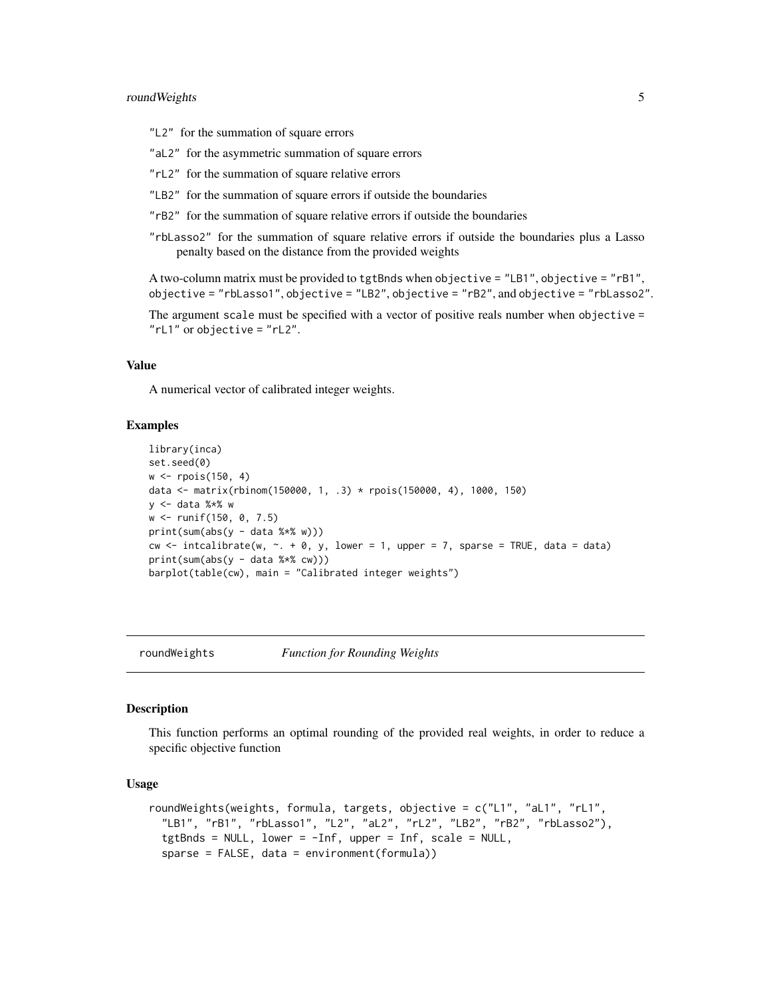#### <span id="page-4-0"></span>roundWeights 5

"L2" for the summation of square errors

"aL2" for the asymmetric summation of square errors

"rL2" for the summation of square relative errors

"LB2" for the summation of square errors if outside the boundaries

"rB2" for the summation of square relative errors if outside the boundaries

"rbLasso2" for the summation of square relative errors if outside the boundaries plus a Lasso penalty based on the distance from the provided weights

```
A two-column matrix must be provided to tgtBnds when objective = "LB1", objective = "rB1",
objective = "rbLasso1", objective = "LB2", objective = "rB2", and objective = "rbLasso2".
```
The argument scale must be specified with a vector of positive reals number when objective = "rL1" or objective = "rL2".

#### Value

A numerical vector of calibrated integer weights.

#### Examples

```
library(inca)
set.seed(0)
w <- rpois(150, 4)
data <- matrix(rbinom(150000, 1, .3) * rpois(150000, 4), 1000, 150)
y <- data %*% w
w <- runif(150, 0, 7.5)
print(sum(abs(y - data %*)))cw \le intcalibrate(w, \le + 0, y, lower = 1, upper = 7, sparse = TRUE, data = data)
print(sum(abs(y - data %*% cw)))
barplot(table(cw), main = "Calibrated integer weights")
```
roundWeights *Function for Rounding Weights*

#### **Description**

This function performs an optimal rounding of the provided real weights, in order to reduce a specific objective function

#### Usage

```
roundWeights(weights, formula, targets, objective = c("L1", "aL1", "rL1",
 "LB1", "rB1", "rbLasso1", "L2", "aL2", "rL2", "LB2", "rB2", "rbLasso2"),
 tgtBnds = NULL, lower = -Inf, upper = Inf, scale = NULL,
 sparse = FALSE, data = environment(formula))
```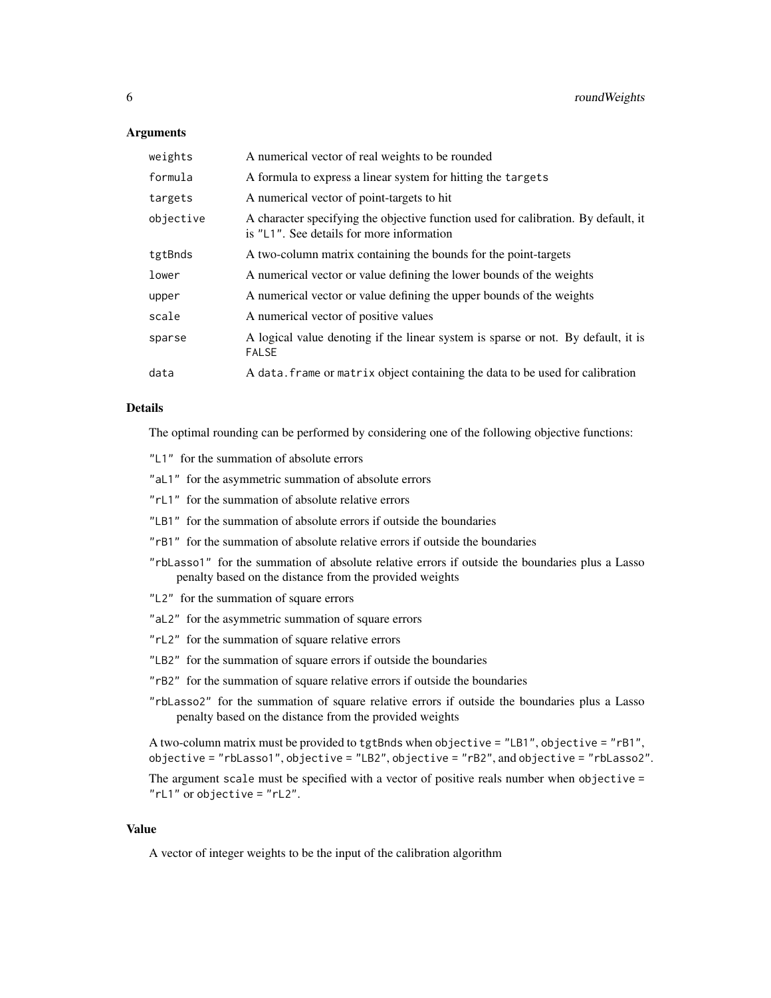#### Arguments

| weights   | A numerical vector of real weights to be rounded                                                                                |
|-----------|---------------------------------------------------------------------------------------------------------------------------------|
| formula   | A formula to express a linear system for hitting the targets                                                                    |
| targets   | A numerical vector of point-targets to hit                                                                                      |
| objective | A character specifying the objective function used for calibration. By default, it<br>is "L1". See details for more information |
| tgtBnds   | A two-column matrix containing the bounds for the point-targets                                                                 |
| lower     | A numerical vector or value defining the lower bounds of the weights                                                            |
| upper     | A numerical vector or value defining the upper bounds of the weights                                                            |
| scale     | A numerical vector of positive values                                                                                           |
| sparse    | A logical value denoting if the linear system is sparse or not. By default, it is<br><b>FALSE</b>                               |
| data      | A data. frame or matrix object containing the data to be used for calibration                                                   |

#### Details

The optimal rounding can be performed by considering one of the following objective functions:

- "L1" for the summation of absolute errors
- "aL1" for the asymmetric summation of absolute errors
- "rL1" for the summation of absolute relative errors
- "LB1" for the summation of absolute errors if outside the boundaries
- "rB1" for the summation of absolute relative errors if outside the boundaries
- "rbLasso1" for the summation of absolute relative errors if outside the boundaries plus a Lasso penalty based on the distance from the provided weights
- "L2" for the summation of square errors
- "aL2" for the asymmetric summation of square errors
- "rL2" for the summation of square relative errors
- "LB2" for the summation of square errors if outside the boundaries
- "rB2" for the summation of square relative errors if outside the boundaries
- "rbLasso2" for the summation of square relative errors if outside the boundaries plus a Lasso penalty based on the distance from the provided weights

```
A two-column matrix must be provided to tgtBnds when objective = "LB1", objective = "rB1",
objective = "rbLasso1", objective = "LB2", objective = "rB2", and objective = "rbLasso2".
```
The argument scale must be specified with a vector of positive reals number when objective = "rL1" or objective = "rL2".

#### Value

A vector of integer weights to be the input of the calibration algorithm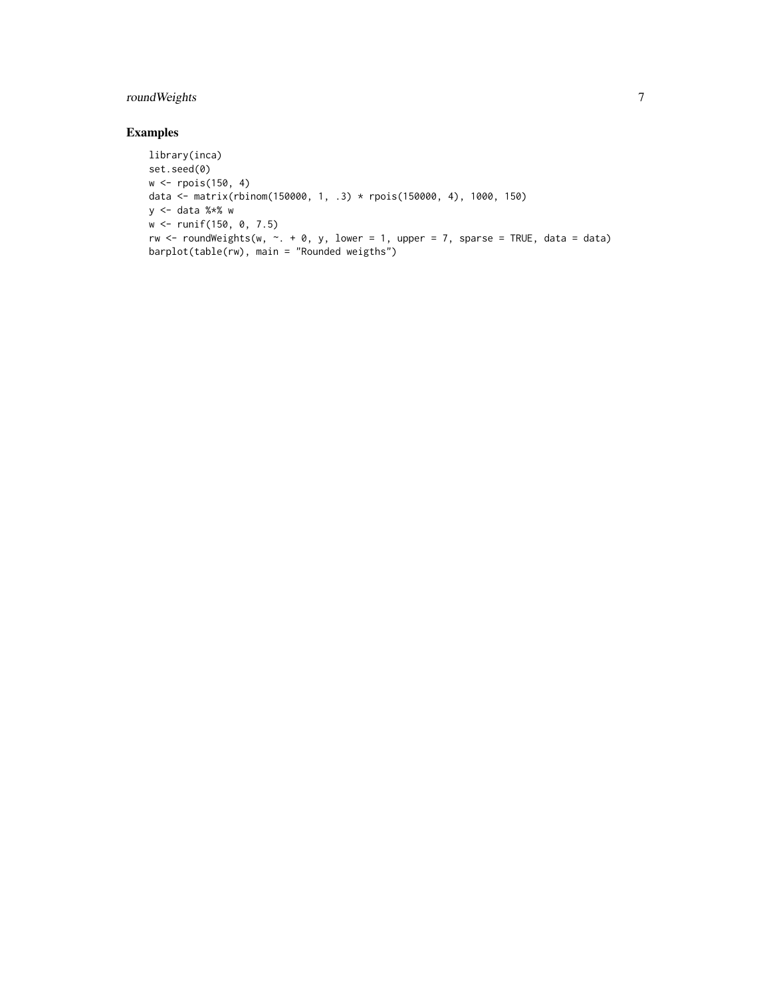#### roundWeights 7

#### Examples

```
library(inca)
set.seed(0)
w <- rpois(150, 4)
data <- matrix(rbinom(150000, 1, .3) * rpois(150000, 4), 1000, 150)
y <- data %*% w
w <- runif(150, 0, 7.5)
rw \le roundWeights(w, \sim. + 0, y, lower = 1, upper = 7, sparse = TRUE, data = data)
barplot(table(rw), main = "Rounded weigths")
```